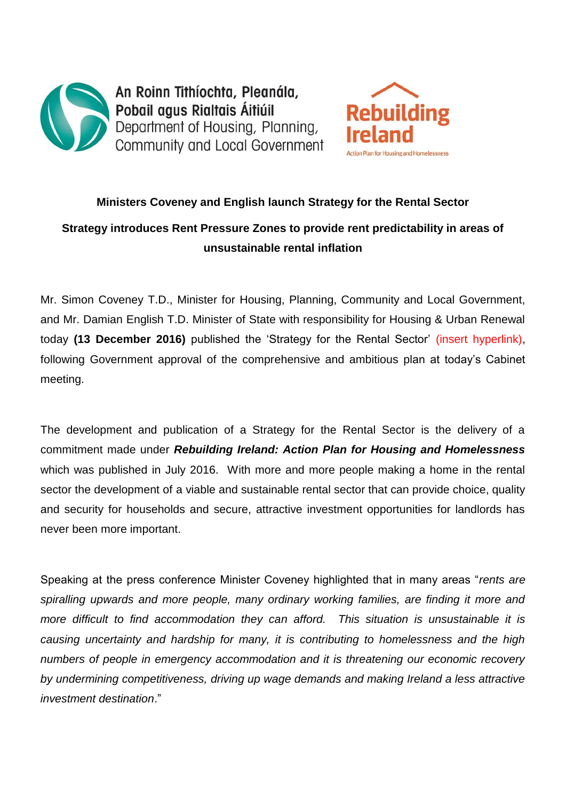



## **Ministers Coveney and English launch Strategy for the Rental Sector Strategy introduces Rent Pressure Zones to provide rent predictability in areas of unsustainable rental inflation**

Mr. Simon Coveney T.D., Minister for Housing, Planning, Community and Local Government, and Mr. Damian English T.D. Minister of State with responsibility for Housing & Urban Renewal today **(13 December 2016)** published the 'Strategy for the Rental Sector' (insert hyperlink), following Government approval of the comprehensive and ambitious plan at today's Cabinet meeting.

The development and publication of a Strategy for the Rental Sector is the delivery of a commitment made under *Rebuilding Ireland: Action Plan for Housing and Homelessness* which was published in July 2016. With more and more people making a home in the rental sector the development of a viable and sustainable rental sector that can provide choice, quality and security for households and secure, attractive investment opportunities for landlords has never been more important.

Speaking at the press conference Minister Coveney highlighted that in many areas "*rents are spiralling upwards and more people, many ordinary working families, are finding it more and more difficult to find accommodation they can afford. This situation is unsustainable it is causing uncertainty and hardship for many, it is contributing to homelessness and the high numbers of people in emergency accommodation and it is threatening our economic recovery by undermining competitiveness, driving up wage demands and making Ireland a less attractive investment destination*."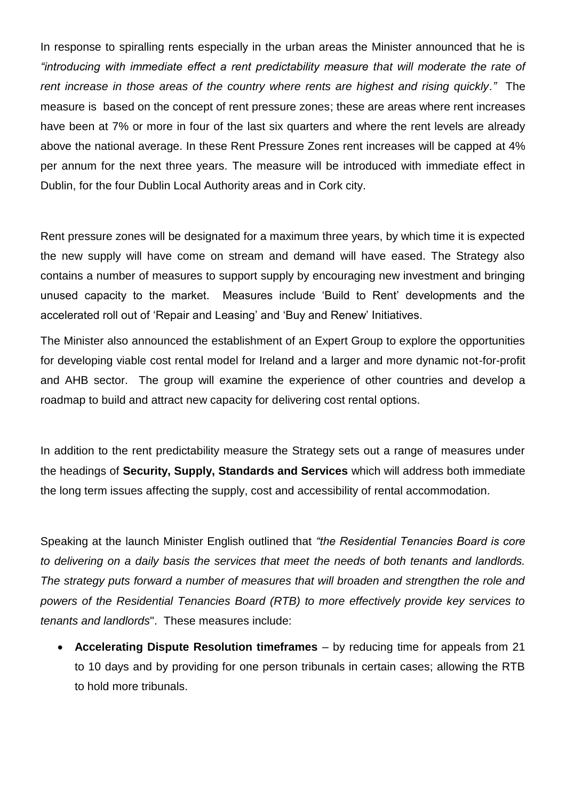In response to spiralling rents especially in the urban areas the Minister announced that he is *"introducing with immediate effect a rent predictability measure that will moderate the rate of rent increase in those areas of the country where rents are highest and rising quickly."* The measure is based on the concept of rent pressure zones; these are areas where rent increases have been at 7% or more in four of the last six quarters and where the rent levels are already above the national average. In these Rent Pressure Zones rent increases will be capped at 4% per annum for the next three years. The measure will be introduced with immediate effect in Dublin, for the four Dublin Local Authority areas and in Cork city.

Rent pressure zones will be designated for a maximum three years, by which time it is expected the new supply will have come on stream and demand will have eased. The Strategy also contains a number of measures to support supply by encouraging new investment and bringing unused capacity to the market. Measures include 'Build to Rent' developments and the accelerated roll out of 'Repair and Leasing' and 'Buy and Renew' Initiatives.

The Minister also announced the establishment of an Expert Group to explore the opportunities for developing viable cost rental model for Ireland and a larger and more dynamic not-for-profit and AHB sector. The group will examine the experience of other countries and develop a roadmap to build and attract new capacity for delivering cost rental options.

In addition to the rent predictability measure the Strategy sets out a range of measures under the headings of **Security, Supply, Standards and Services** which will address both immediate the long term issues affecting the supply, cost and accessibility of rental accommodation.

Speaking at the launch Minister English outlined that *"the Residential Tenancies Board is core to delivering on a daily basis the services that meet the needs of both tenants and landlords. The strategy puts forward a number of measures that will broaden and strengthen the role and powers of the Residential Tenancies Board (RTB) to more effectively provide key services to tenants and landlords*". These measures include:

 **Accelerating Dispute Resolution timeframes** – by reducing time for appeals from 21 to 10 days and by providing for one person tribunals in certain cases; allowing the RTB to hold more tribunals.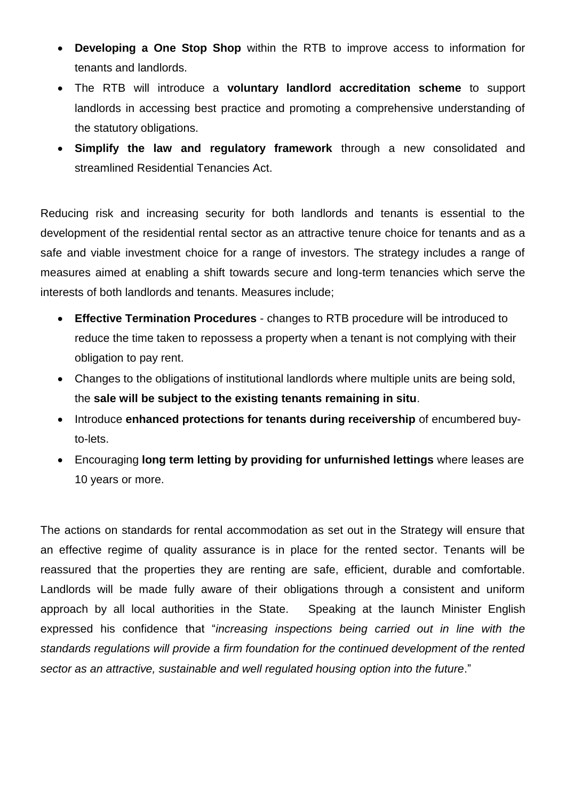- **Developing a One Stop Shop** within the RTB to improve access to information for tenants and landlords.
- The RTB will introduce a **voluntary landlord accreditation scheme** to support landlords in accessing best practice and promoting a comprehensive understanding of the statutory obligations.
- **Simplify the law and regulatory framework** through a new consolidated and streamlined Residential Tenancies Act.

Reducing risk and increasing security for both landlords and tenants is essential to the development of the residential rental sector as an attractive tenure choice for tenants and as a safe and viable investment choice for a range of investors. The strategy includes a range of measures aimed at enabling a shift towards secure and long-term tenancies which serve the interests of both landlords and tenants. Measures include;

- **Effective Termination Procedures** changes to RTB procedure will be introduced to reduce the time taken to repossess a property when a tenant is not complying with their obligation to pay rent.
- Changes to the obligations of institutional landlords where multiple units are being sold, the **sale will be subject to the existing tenants remaining in situ**.
- Introduce **enhanced protections for tenants during receivership** of encumbered buyto-lets.
- Encouraging **long term letting by providing for unfurnished lettings** where leases are 10 years or more.

The actions on standards for rental accommodation as set out in the Strategy will ensure that an effective regime of quality assurance is in place for the rented sector. Tenants will be reassured that the properties they are renting are safe, efficient, durable and comfortable. Landlords will be made fully aware of their obligations through a consistent and uniform approach by all local authorities in the State. Speaking at the launch Minister English expressed his confidence that "*increasing inspections being carried out in line with the standards regulations will provide a firm foundation for the continued development of the rented sector as an attractive, sustainable and well regulated housing option into the future*."